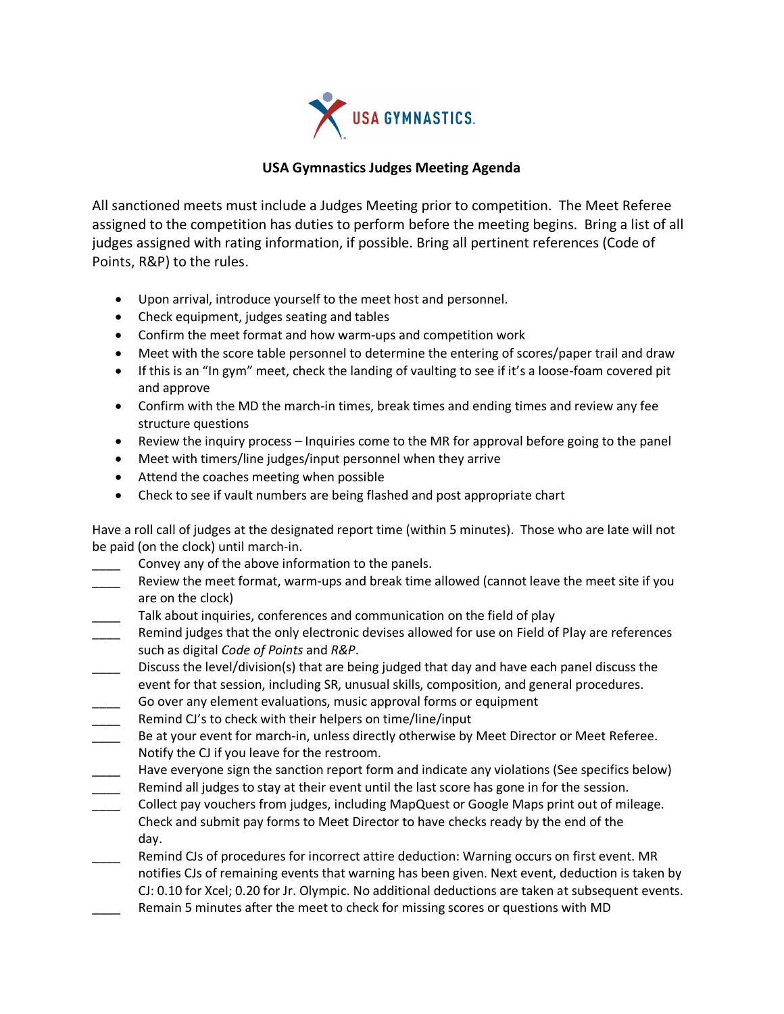

## **USA Gymnastics Judges Meeting Agenda**

All sanctioned meets must include a Judges Meeting prior to competition. The Meet Referee assigned to the competition has duties to perform before the meeting begins. Bring a list of all judges assigned with rating information, if possible. Bring all pertinent references (Code of Points, R&P) to the rules.

- Upon arrival, introduce yourself to the meet host and personnel.
- Check equipment, judges seating and tables
- Confirm the meet format and how warm-ups and competition work
- Meet with the score table personnel to determine the entering of scores/paper trail and draw
- If this is an "In gym" meet, check the landing of vaulting to see if it's a loose-foam covered pit and approve
- Confirm with the MD the march-in times, break times and ending times and review any fee structure questions
- Review the inquiry process Inquiries come to the MR for approval before going to the panel
- Meet with timers/line judges/input personnel when they arrive
- Attend the coaches meeting when possible
- Check to see if vault numbers are being flashed and post appropriate chart

Have a roll call of judges at the designated report time (within 5 minutes). Those who are late will not be paid (on the clock) until march-in.

- Convey any of the above information to the panels.
- Review the meet format, warm-ups and break time allowed (cannot leave the meet site if you are on the clock)
- Talk about inquiries, conferences and communication on the field of play
- Remind judges that the only electronic devises allowed for use on Field of Play are references such as digital *Code of Points* and *R&P*.
- Discuss the level/division(s) that are being judged that day and have each panel discuss the event for that session, including SR, unusual skills, composition, and general procedures.
- Go over any element evaluations, music approval forms or equipment
- Remind CJ's to check with their helpers on time/line/input
- Be at your event for march-in, unless directly otherwise by Meet Director or Meet Referee. Notify the CJ if you leave for the restroom.
- Have everyone sign the sanction report form and indicate any violations (See specifics below)
- Remind all judges to stay at their event until the last score has gone in for the session.
- \_\_\_\_ Collect pay vouchers from judges, including MapQuest or Google Maps print out of mileage. Check and submit pay forms to Meet Director to have checks ready by the end of the day.
- Remind CJs of procedures for incorrect attire deduction: Warning occurs on first event. MR notifies CJs of remaining events that warning has been given. Next event, deduction is taken by CJ: 0.10 for Xcel; 0.20 for Jr. Olympic. No additional deductions are taken at subsequent events. Remain 5 minutes after the meet to check for missing scores or questions with MD